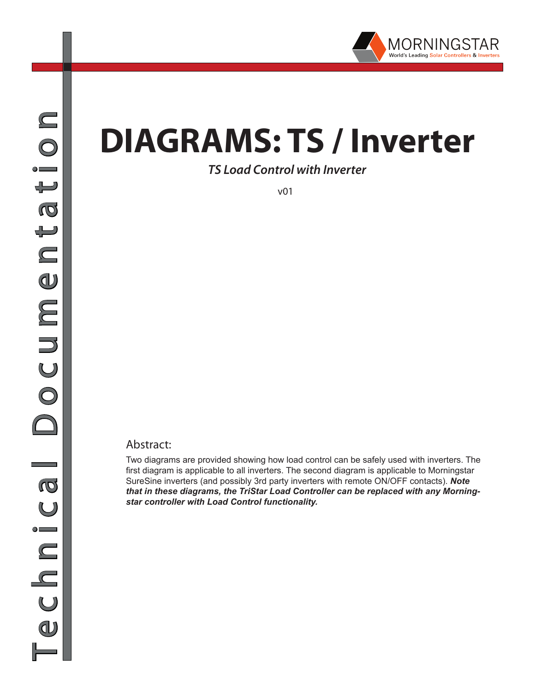

# **DIAGRAMS: TS / Inverter**

*TS Load Control with Inverter*

v01

#### Abstract:

Two diagrams are provided showing how load control can be safely used with inverters. The first diagram is applicable to all inverters. The second diagram is applicable to Morningstar SureSine inverters (and possibly 3rd party inverters with remote ON/OFF contacts). *Note that in these diagrams, the TriStar Load Controller can be replaced with any Morningstar controller with Load Control functionality.*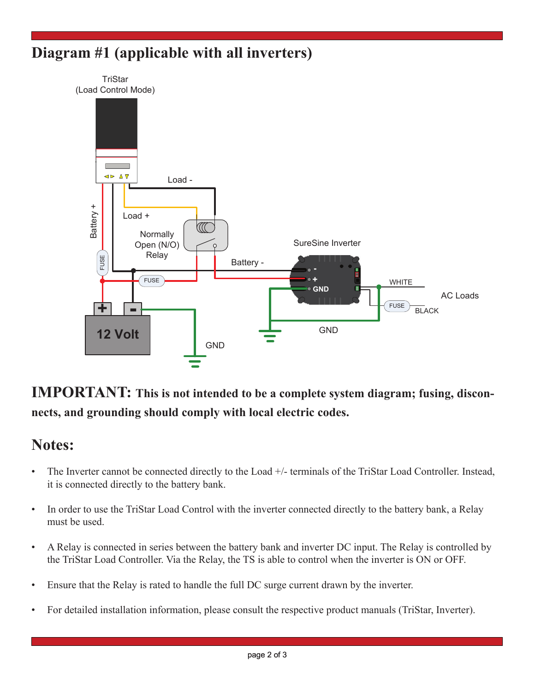## **Diagram #1 (applicable with all inverters)**



**IMPORTANT: This is not intended to be a complete system diagram; fusing, disconnects, and grounding should comply with local electric codes.**

### **Notes:**

- The Inverter cannot be connected directly to the Load +/- terminals of the TriStar Load Controller. Instead, it is connected directly to the battery bank.
- In order to use the TriStar Load Control with the inverter connected directly to the battery bank, a Relay must be used.
- • A Relay is connected in series between the battery bank and inverter DC input. The Relay is controlled by the TriStar Load Controller. Via the Relay, the TS is able to control when the inverter is ON or OFF.
- Ensure that the Relay is rated to handle the full DC surge current drawn by the inverter.
- • For detailed installation information, please consult the respective product manuals (TriStar, Inverter).